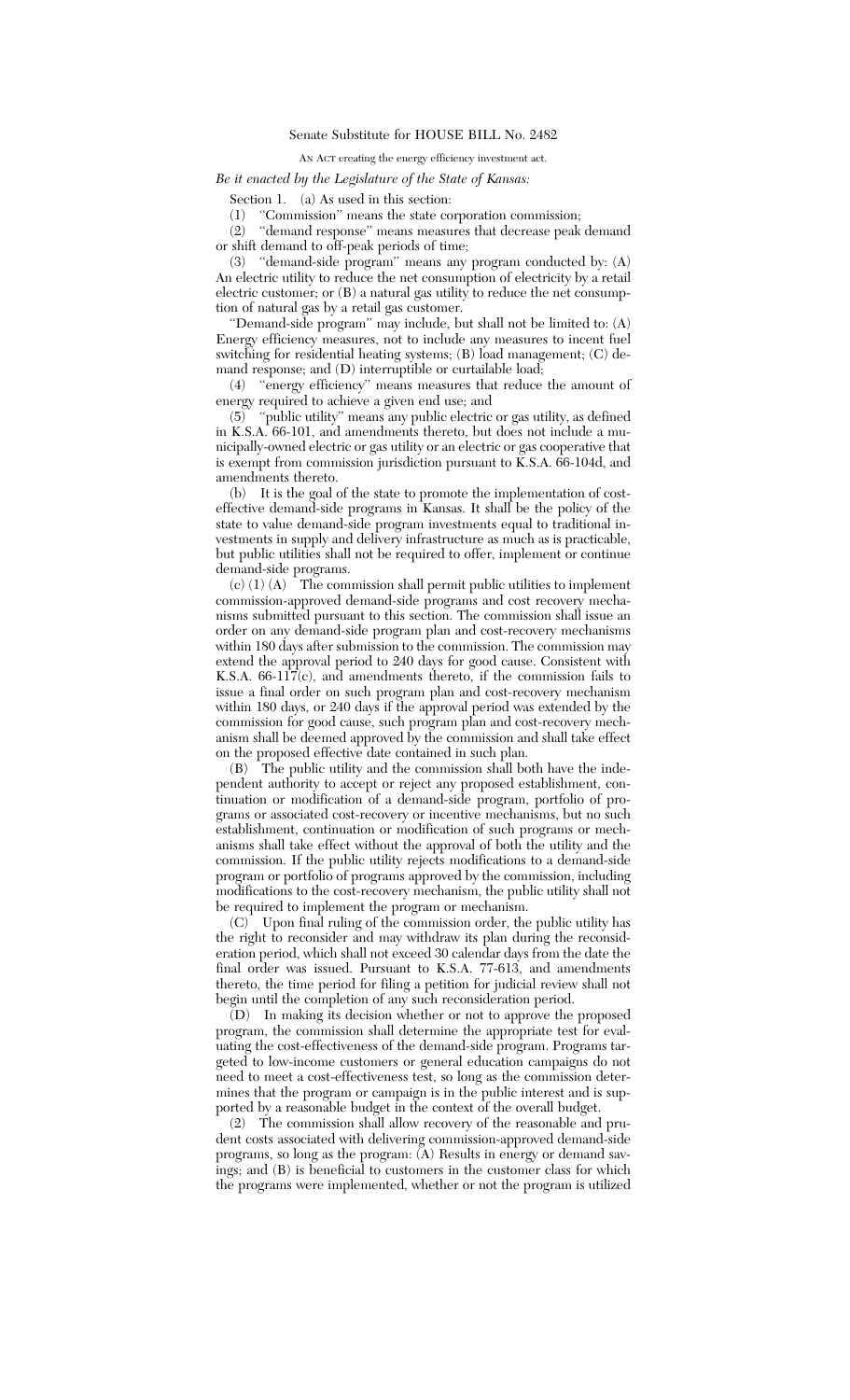AN ACT creating the energy efficiency investment act.

## *Be it enacted by the Legislature of the State of Kansas:*

Section 1. (a) As used in this section:

(1) ''Commission'' means the state corporation commission;

(2) ''demand response'' means measures that decrease peak demand or shift demand to off-peak periods of time;

(3) ''demand-side program'' means any program conducted by: (A) An electric utility to reduce the net consumption of electricity by a retail electric customer; or (B) a natural gas utility to reduce the net consumption of natural gas by a retail gas customer.

''Demand-side program'' may include, but shall not be limited to: (A) Energy efficiency measures, not to include any measures to incent fuel switching for residential heating systems; (B) load management; (C) demand response; and (D) interruptible or curtailable load;

(4) ''energy efficiency'' means measures that reduce the amount of energy required to achieve a given end use; and

(5) ''public utility'' means any public electric or gas utility, as defined in K.S.A. 66-101, and amendments thereto, but does not include a municipally-owned electric or gas utility or an electric or gas cooperative that is exempt from commission jurisdiction pursuant to  $\breve{K}$ .S.A. 66-104d, and amendments thereto.

(b) It is the goal of the state to promote the implementation of costeffective demand-side programs in Kansas. It shall be the policy of the state to value demand-side program investments equal to traditional investments in supply and delivery infrastructure as much as is practicable, but public utilities shall not be required to offer, implement or continue demand-side programs.

(c) (1) (A) The commission shall permit public utilities to implement commission-approved demand-side programs and cost recovery mechanisms submitted pursuant to this section. The commission shall issue an order on any demand-side program plan and cost-recovery mechanisms within 180 days after submission to the commission. The commission may extend the approval period to 240 days for good cause. Consistent with K.S.A.  $66-11\overline{7}$ (c), and amendments thereto, if the commission fails to issue a final order on such program plan and cost-recovery mechanism within 180 days, or 240 days if the approval period was extended by the commission for good cause, such program plan and cost-recovery mechanism shall be deemed approved by the commission and shall take effect on the proposed effective date contained in such plan.

(B) The public utility and the commission shall both have the independent authority to accept or reject any proposed establishment, continuation or modification of a demand-side program, portfolio of programs or associated cost-recovery or incentive mechanisms, but no such establishment, continuation or modification of such programs or mechanisms shall take effect without the approval of both the utility and the commission. If the public utility rejects modifications to a demand-side program or portfolio of programs approved by the commission, including modifications to the cost-recovery mechanism, the public utility shall not be required to implement the program or mechanism.

(C) Upon final ruling of the commission order, the public utility has the right to reconsider and may withdraw its plan during the reconsideration period, which shall not exceed 30 calendar days from the date the final order was issued. Pursuant to K.S.A. 77-613, and amendments thereto, the time period for filing a petition for judicial review shall not begin until the completion of any such reconsideration period.

(D) In making its decision whether or not to approve the proposed program, the commission shall determine the appropriate test for evaluating the cost-effectiveness of the demand-side program. Programs targeted to low-income customers or general education campaigns do not need to meet a cost-effectiveness test, so long as the commission determines that the program or campaign is in the public interest and is supported by a reasonable budget in the context of the overall budget.

(2) The commission shall allow recovery of the reasonable and prudent costs associated with delivering commission-approved demand-side programs, so long as the program: (A) Results in energy or demand savings; and (B) is beneficial to customers in the customer class for which the programs were implemented, whether or not the program is utilized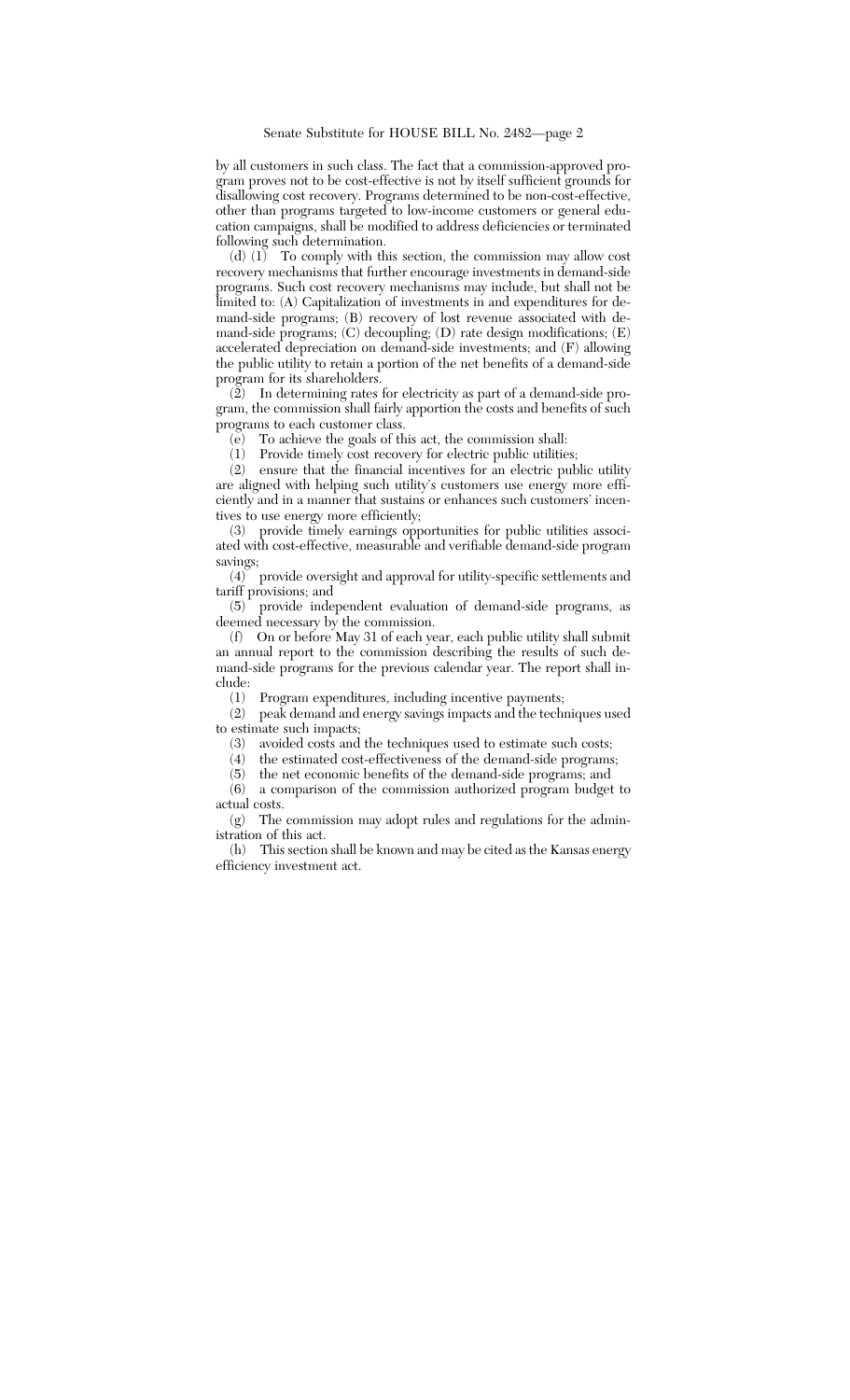by all customers in such class. The fact that a commission-approved program proves not to be cost-effective is not by itself sufficient grounds for disallowing cost recovery. Programs determined to be non-cost-effective, other than programs targeted to low-income customers or general education campaigns, shall be modified to address deficiencies or terminated following such determination.

(d)  $(1)$  To comply with this section, the commission may allow cost recovery mechanisms that further encourage investments in demand-side programs. Such cost recovery mechanisms may include, but shall not be limited to: (A) Capitalization of investments in and expenditures for demand-side programs; (B) recovery of lost revenue associated with demand-side programs; (C) decoupling; (D) rate design modifications; (E) accelerated depreciation on demand-side investments; and (F) allowing the public utility to retain a portion of the net benefits of a demand-side program for its shareholders.

(2) In determining rates for electricity as part of a demand-side program, the commission shall fairly apportion the costs and benefits of such programs to each customer class.

(e) To achieve the goals of this act, the commission shall:

(1) Provide timely cost recovery for electric public utilities;

(2) ensure that the financial incentives for an electric public utility are aligned with helping such utility's customers use energy more efficiently and in a manner that sustains or enhances such customers' incentives to use energy more efficiently;

(3) provide timely earnings opportunities for public utilities associated with cost-effective, measurable and verifiable demand-side program savings;

(4) provide oversight and approval for utility-specific settlements and tariff provisions; and

(5) provide independent evaluation of demand-side programs, as deemed necessary by the commission.

(f) On or before May 31 of each year, each public utility shall submit an annual report to the commission describing the results of such demand-side programs for the previous calendar year. The report shall include:

(1) Program expenditures, including incentive payments;

(2) peak demand and energy savings impacts and the techniques used to estimate such impacts;

(3) avoided costs and the techniques used to estimate such costs;

(4) the estimated cost-effectiveness of the demand-side programs;

 $(5)$  the net economic benefits of the demand-side programs; and  $(6)$  a comparison of the commission authorized program budget

a comparison of the commission authorized program budget to actual costs.

(g) The commission may adopt rules and regulations for the administration of this act.

(h) This section shall be known and may be cited as the Kansas energy efficiency investment act.